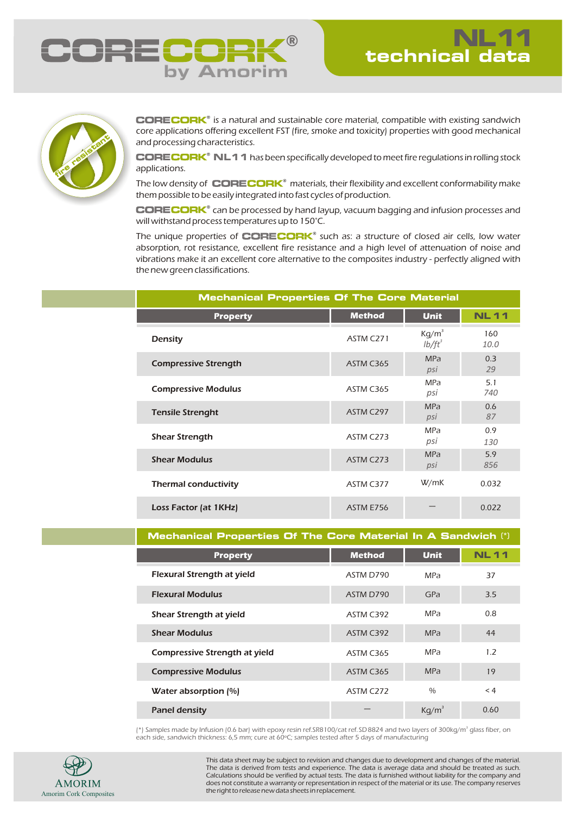



**CORECORK**® is a natural and sustainable core material, compatible with existing sandwich core applications offering excellent FST (fire, smoke and toxicity) properties with good mechanical and processing characteristics.

 $\mathbf C\mathbf O\mathbf R\mathbf E\mathbf C\mathbf O\mathbf R\mathbf K^*$   $\mathbf N\mathbf L\mathbf 1\mathbf 1$  has been specifically developed to meet fire regulations in rolling stock applications.

The low density of CORECORK® materials, their flexibility and excellent conformability make them possible to be easily integrated into fast cycles of production.

**CORECORK**® can be processed by hand layup, vacuum bagging and infusion processes and will withstand process temperatures up to 150°C.

The unique properties of **CORECORK**<sup>®</sup> such as: a structure of closed air cells, low water absorption, rot resistance, excellent fire resistance and a high level of attenuation of noise and vibrations make it an excellent core alternative to the composites industry - perfectly aligned with the new green classifications.

| <b>Mechanical Properties Of The Core Material</b> |               |                       |             |  |  |
|---------------------------------------------------|---------------|-----------------------|-------------|--|--|
| <b>Property</b>                                   | <b>Method</b> | <b>Unit</b>           | <b>NL11</b> |  |  |
| Density                                           | ASTM C271     | $Kg/m^3$<br>$lb/ft^3$ | 160<br>10.0 |  |  |
| <b>Compressive Strength</b>                       | ASTM C365     | <b>MPa</b><br>psi     | 0.3<br>29   |  |  |
| <b>Compressive Modulus</b>                        | ASTM C365     | MPa<br>psi            | 5.1<br>740  |  |  |
| <b>Tensile Strenght</b>                           | ASTM C297     | <b>MPa</b><br>psi     | 0.6<br>87   |  |  |
| <b>Shear Strength</b>                             | ASTM C273     | <b>MPa</b><br>psi     | 0.9<br>130  |  |  |
| <b>Shear Modulus</b>                              | ASTM C273     | <b>MPa</b><br>psi     | 5.9<br>856  |  |  |
| <b>Thermal conductivity</b>                       | ASTM C377     | W/mK                  | 0.032       |  |  |
| Loss Factor (at 1KHz)                             | ASTM E756     |                       | 0.022       |  |  |

**Mechanical Properties Of The Core Material In A Sandwich** (\*)

| <b>Property</b>                      | <b>Method</b> | <b>Unit</b>   | <b>NL11</b> |
|--------------------------------------|---------------|---------------|-------------|
| <b>Flexural Strength at yield</b>    | ASTM D790     | <b>MPa</b>    | 37          |
| <b>Flexural Modulus</b>              | ASTM D790     | GPa           | 3.5         |
| Shear Strength at yield              | ASTM C392     | <b>MPa</b>    | 0.8         |
| <b>Shear Modulus</b>                 | ASTM C392     | <b>MPa</b>    | 44          |
| <b>Compressive Strength at yield</b> | ASTM C365     | <b>MPa</b>    | 1.2         |
| <b>Compressive Modulus</b>           | ASTM C365     | <b>MPa</b>    | 19          |
| Water absorption $\lbrack\% \rbrack$ | ASTM C272     | $\frac{0}{0}$ | < 4         |
| <b>Panel density</b>                 |               | $Kq/m^3$      | 0.60        |

(\*) Samples made by Infusion (0.6 bar) with epoxy resin ref.SR8100/cat ref.SD 8824 and two layers of 300kg/m<sup>3</sup> glass fiber, on<br>each side, sandwich thickness: 6,5 mm; cure at 60°C; samples tested after 5 days of manufactu



This data sheet may be subject to revision and changes due to development and changes of the material. The data is derived from tests and experience. The data is average data and should be treated as such. Calculations should be verified by actual tests. The data is furnished without liability for the company and does not constitute a warranty or representation in respect of the material or its use. The company reserves the right to release new data sheets in replacement.